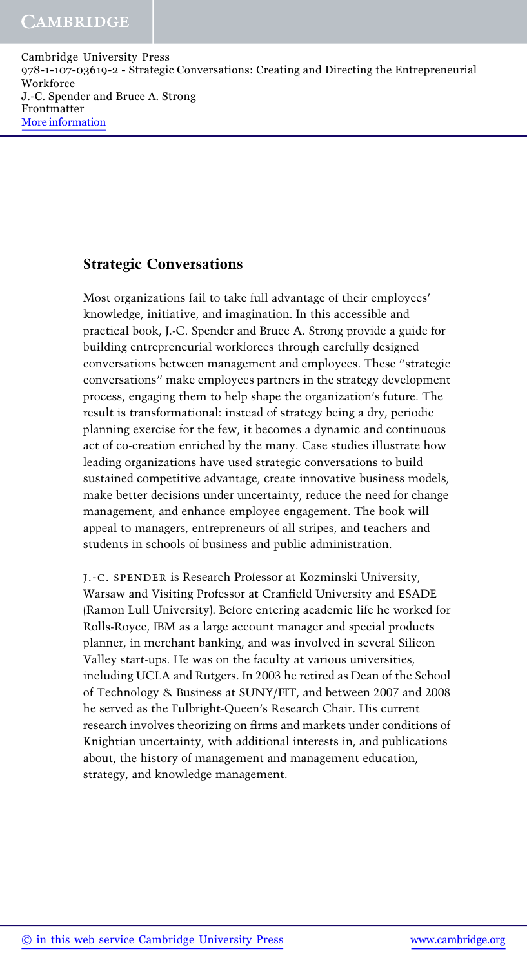### Strategic Conversations

Most organizations fail to take full advantage of their employees' knowledge, initiative, and imagination. In this accessible and practical book, J.-C. Spender and Bruce A. Strong provide a guide for building entrepreneurial workforces through carefully designed conversations between management and employees. These "strategic conversations" make employees partners in the strategy development process, engaging them to help shape the organization's future. The result is transformational: instead of strategy being a dry, periodic planning exercise for the few, it becomes a dynamic and continuous act of co-creation enriched by the many. Case studies illustrate how leading organizations have used strategic conversations to build sustained competitive advantage, create innovative business models, make better decisions under uncertainty, reduce the need for change management, and enhance employee engagement. The book will appeal to managers, entrepreneurs of all stripes, and teachers and students in schools of business and public administration.

j.-c. spender is Research Professor at Kozminski University, Warsaw and Visiting Professor at Cranfield University and ESADE (Ramon Lull University). Before entering academic life he worked for Rolls-Royce, IBM as a large account manager and special products planner, in merchant banking, and was involved in several Silicon Valley start-ups. He was on the faculty at various universities, including UCLA and Rutgers. In 2003 he retired as Dean of the School of Technology & Business at SUNY/FIT, and between 2007 and 2008 he served as the Fulbright-Queen's Research Chair. His current research involves theorizing on firms and markets under conditions of Knightian uncertainty, with additional interests in, and publications about, the history of management and management education, strategy, and knowledge management.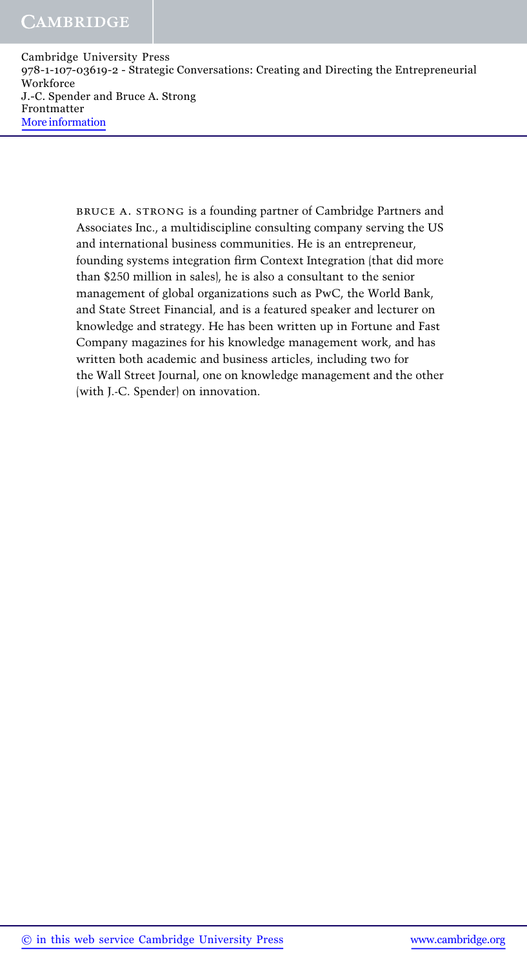> bruce a. strong is a founding partner of Cambridge Partners and Associates Inc., a multidiscipline consulting company serving the US and international business communities. He is an entrepreneur, founding systems integration firm Context Integration (that did more than \$250 million in sales), he is also a consultant to the senior management of global organizations such as PwC, the World Bank, and State Street Financial, and is a featured speaker and lecturer on knowledge and strategy. He has been written up in Fortune and Fast Company magazines for his knowledge management work, and has written both academic and business articles, including two for the Wall Street Journal, one on knowledge management and the other (with J.-C. Spender) on innovation.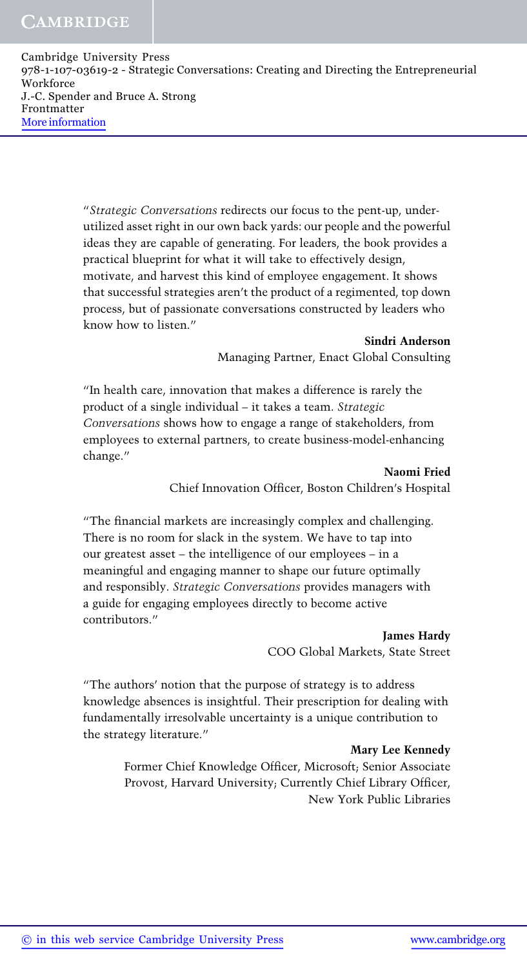> "Strategic Conversations redirects our focus to the pent-up, underutilized asset right in our own back yards: our people and the powerful ideas they are capable of generating. For leaders, the book provides a practical blueprint for what it will take to effectively design, motivate, and harvest this kind of employee engagement. It shows that successful strategies aren't the product of a regimented, top down process, but of passionate conversations constructed by leaders who know how to listen."

#### Sindri Anderson Managing Partner, Enact Global Consulting

"In health care, innovation that makes a difference is rarely the product of a single individual – it takes a team. Strategic Conversations shows how to engage a range of stakeholders, from employees to external partners, to create business-model-enhancing change."

> Naomi Fried Chief Innovation Officer, Boston Children's Hospital

"The financial markets are increasingly complex and challenging. There is no room for slack in the system. We have to tap into our greatest asset – the intelligence of our employees – in a meaningful and engaging manner to shape our future optimally and responsibly. Strategic Conversations provides managers with a guide for engaging employees directly to become active contributors."

> James Hardy COO Global Markets, State Street

"The authors' notion that the purpose of strategy is to address knowledge absences is insightful. Their prescription for dealing with fundamentally irresolvable uncertainty is a unique contribution to the strategy literature."

#### Mary Lee Kennedy

Former Chief Knowledge Officer, Microsoft; Senior Associate Provost, Harvard University; Currently Chief Library Officer, New York Public Libraries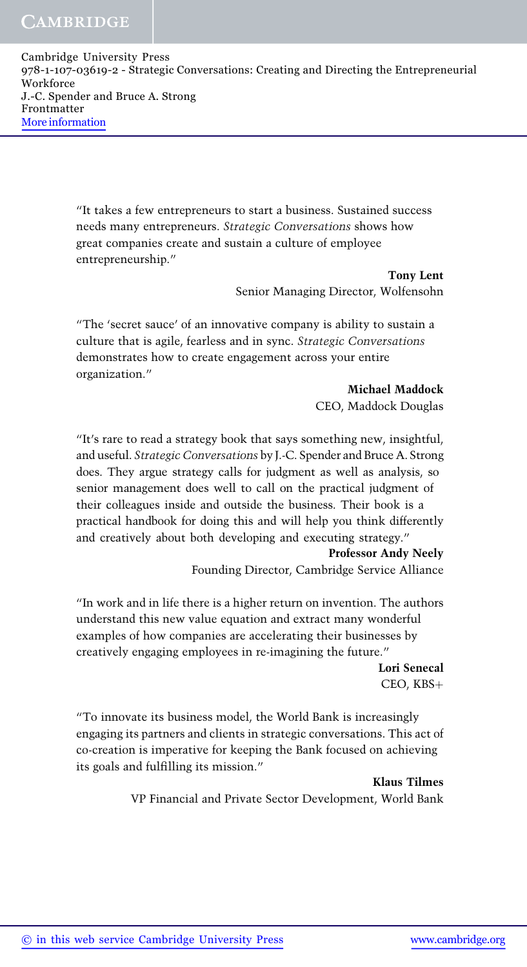> "It takes a few entrepreneurs to start a business. Sustained success needs many entrepreneurs. Strategic Conversations shows how great companies create and sustain a culture of employee entrepreneurship."

> > Tony Lent Senior Managing Director, Wolfensohn

"The 'secret sauce' of an innovative company is ability to sustain a culture that is agile, fearless and in sync. Strategic Conversations demonstrates how to create engagement across your entire organization."

Michael Maddock

CEO, Maddock Douglas

"It's rare to read a strategy book that says something new, insightful, and useful. Strategic Conversations by J.-C. Spender and Bruce A. Strong does. They argue strategy calls for judgment as well as analysis, so senior management does well to call on the practical judgment of their colleagues inside and outside the business. Their book is a practical handbook for doing this and will help you think differently and creatively about both developing and executing strategy."

Professor Andy Neely Founding Director, Cambridge Service Alliance

"In work and in life there is a higher return on invention. The authors understand this new value equation and extract many wonderful examples of how companies are accelerating their businesses by creatively engaging employees in re-imagining the future."

> Lori Senecal  $CEO$ ,  $KBS+$

"To innovate its business model, the World Bank is increasingly engaging its partners and clients in strategic conversations. This act of co-creation is imperative for keeping the Bank focused on achieving its goals and fulfilling its mission."

Klaus Tilmes

VP Financial and Private Sector Development, World Bank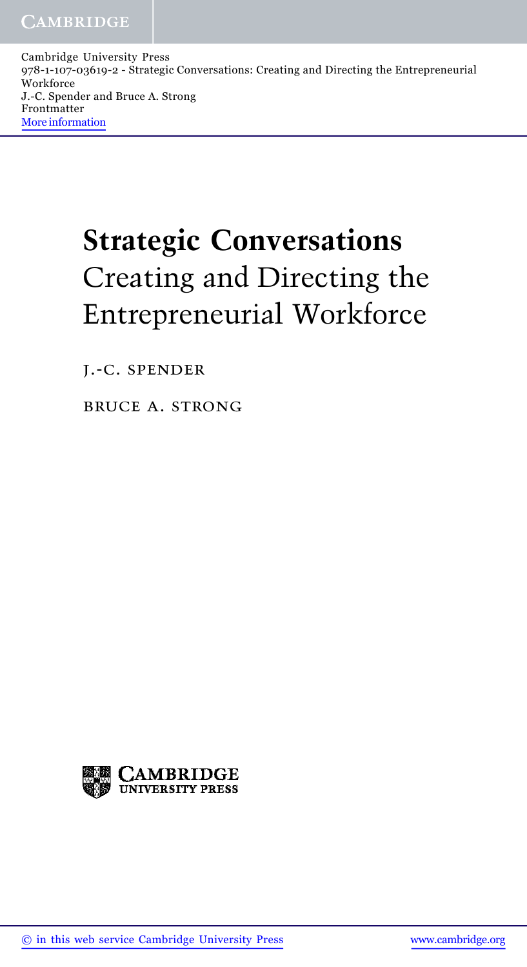# Strategic Conversations Creating and Directing the Entrepreneurial Workforce

j.-c. spender

bruce a. strong

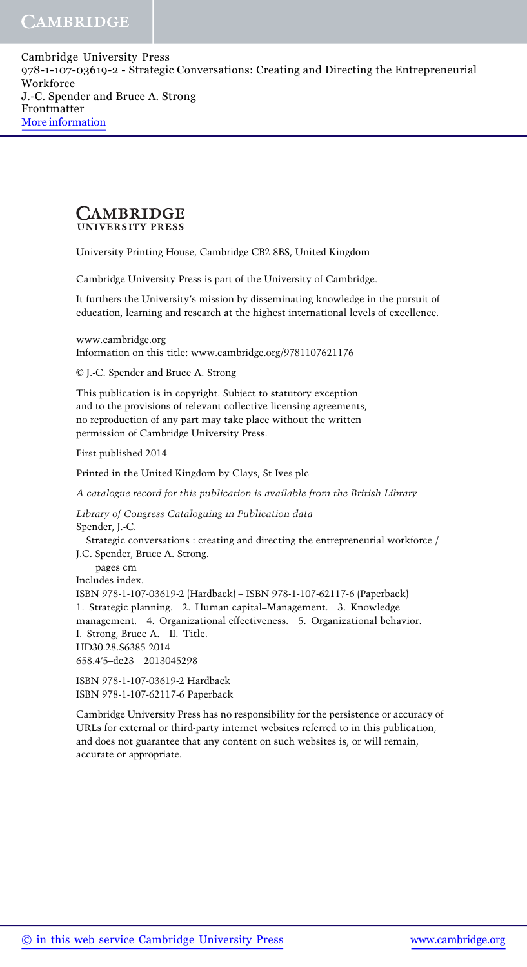#### CAMBRIDGE **UNIVERSITY PRESS**

University Printing House, Cambridge CB2 8BS, United Kingdom

Cambridge University Press is part of the University of Cambridge.

It furthers the University's mission by disseminating knowledge in the pursuit of education, learning and research at the highest international levels of excellence.

www.cambridge.org Information on this title: www.cambridge.org/9781107621176

© J.-C. Spender and Bruce A. Strong

This publication is in copyright. Subject to statutory exception and to the provisions of relevant collective licensing agreements, no reproduction of any part may take place without the written permission of Cambridge University Press.

First published 2014

Printed in the United Kingdom by Clays, St Ives plc

A catalogue record for this publication is available from the British Library

Library of Congress Cataloguing in Publication data Spender, J.-C.

Strategic conversations : creating and directing the entrepreneurial workforce / J.C. Spender, Bruce A. Strong. pages cm Includes index. ISBN 978-1-107-03619-2 (Hardback) – ISBN 978-1-107-62117-6 (Paperback) 1. Strategic planning. 2. Human capital–Management. 3. Knowledge management. 4. Organizational effectiveness. 5. Organizational behavior. I. Strong, Bruce A. II. Title. HD30.28.S6385 2014 658.4'5–dc23 2013045298 ISBN 978-1-107-03619-2 Hardback

ISBN 978-1-107-62117-6 Paperback

Cambridge University Press has no responsibility for the persistence or accuracy of URLs for external or third-party internet websites referred to in this publication, and does not guarantee that any content on such websites is, or will remain, accurate or appropriate.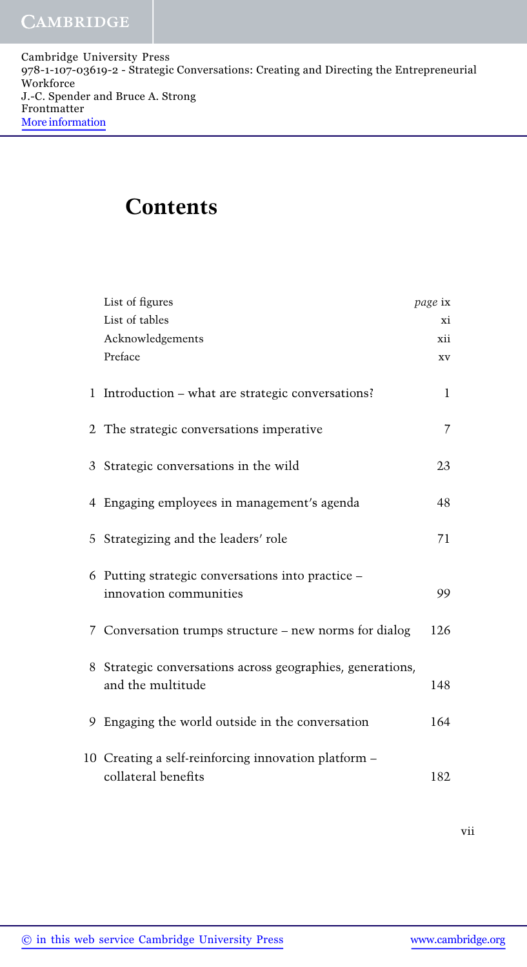### Contents

| List of figures                                                                 | page ix |
|---------------------------------------------------------------------------------|---------|
| List of tables                                                                  | хi      |
| Acknowledgements                                                                | xii     |
| Preface                                                                         | XV      |
| 1 Introduction – what are strategic conversations?                              | 1       |
| 2 The strategic conversations imperative                                        | 7       |
| 3 Strategic conversations in the wild                                           | 23      |
| 4 Engaging employees in management's agenda                                     | 48      |
| 5 Strategizing and the leaders' role                                            | 71      |
| 6 Putting strategic conversations into practice –<br>innovation communities     | 99      |
| 7 Conversation trumps structure – new norms for dialog                          | 126     |
| 8 Strategic conversations across geographies, generations,<br>and the multitude | 148     |
| 9 Engaging the world outside in the conversation                                | 164     |
| 10 Creating a self-reinforcing innovation platform -<br>collateral benefits     | 182     |

vii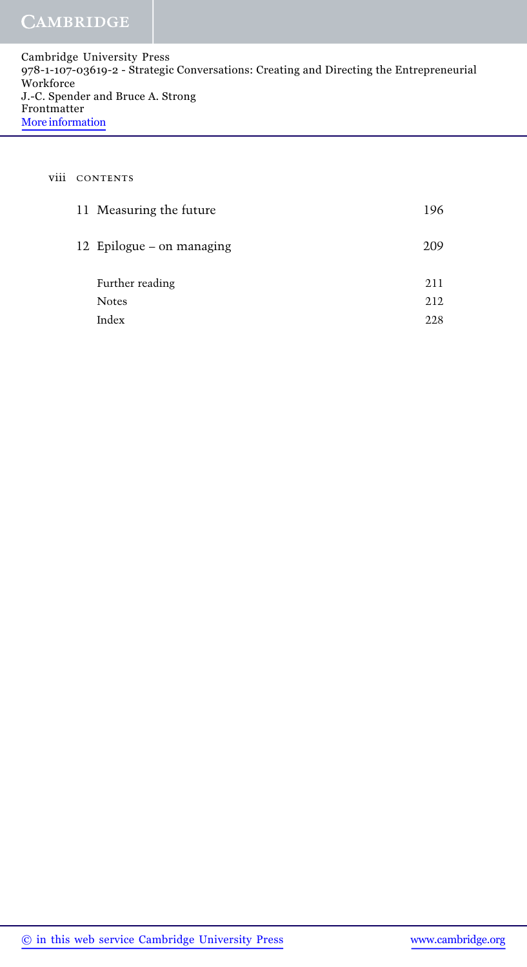#### viii CONTENTS

| 11 Measuring the future   | 196 |
|---------------------------|-----|
| 12 Epilogue – on managing | 209 |
| Further reading           | 211 |
| <b>Notes</b>              | 212 |
| Index                     | 228 |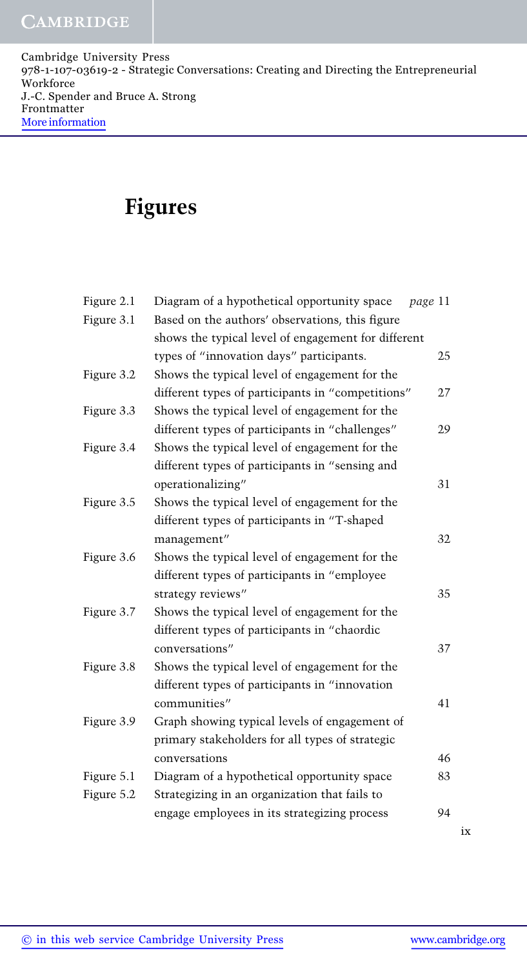## Figures

| Figure 2.1 | Diagram of a hypothetical opportunity space         | page 11 |  |  |
|------------|-----------------------------------------------------|---------|--|--|
| Figure 3.1 | Based on the authors' observations, this figure     |         |  |  |
|            | shows the typical level of engagement for different |         |  |  |
|            | types of "innovation days" participants.            | 25      |  |  |
| Figure 3.2 | Shows the typical level of engagement for the       |         |  |  |
|            | different types of participants in "competitions"   | 27      |  |  |
| Figure 3.3 | Shows the typical level of engagement for the       |         |  |  |
|            | different types of participants in "challenges"     | 29      |  |  |
| Figure 3.4 | Shows the typical level of engagement for the       |         |  |  |
|            | different types of participants in "sensing and     |         |  |  |
|            | operationalizing"                                   | 31      |  |  |
| Figure 3.5 | Shows the typical level of engagement for the       |         |  |  |
|            | different types of participants in "T-shaped        |         |  |  |
|            | management"                                         | 32      |  |  |
| Figure 3.6 | Shows the typical level of engagement for the       |         |  |  |
|            | different types of participants in "employee        |         |  |  |
|            | strategy reviews"                                   | 35      |  |  |
| Figure 3.7 | Shows the typical level of engagement for the       |         |  |  |
|            | different types of participants in "chaordic        |         |  |  |
|            | conversations"                                      | 37      |  |  |
| Figure 3.8 | Shows the typical level of engagement for the       |         |  |  |
|            | different types of participants in "innovation      |         |  |  |
|            | communities"                                        | 41      |  |  |
| Figure 3.9 | Graph showing typical levels of engagement of       |         |  |  |
|            | primary stakeholders for all types of strategic     |         |  |  |
|            | conversations                                       | 46      |  |  |
| Figure 5.1 | Diagram of a hypothetical opportunity space         | 83      |  |  |
| Figure 5.2 | Strategizing in an organization that fails to       |         |  |  |
|            | engage employees in its strategizing process        | 94      |  |  |
|            |                                                     |         |  |  |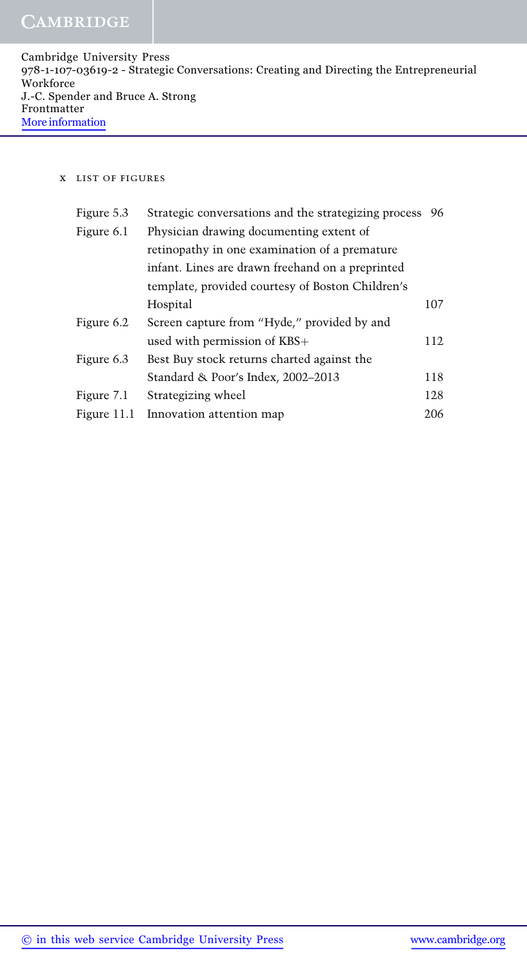| Cambridge University Press                                                              |
|-----------------------------------------------------------------------------------------|
| 978-1-107-03619-2 - Strategic Conversations: Creating and Directing the Entrepreneurial |
| Workforce                                                                               |
| J.-C. Spender and Bruce A. Strong                                                       |
| Frontmatter                                                                             |
| More information                                                                        |

#### x list of figures

| Figure 5.3    | Strategic conversations and the strategizing process 96 |     |
|---------------|---------------------------------------------------------|-----|
| Figure 6.1    | Physician drawing documenting extent of                 |     |
|               | retinopathy in one examination of a premature           |     |
|               | infant. Lines are drawn freehand on a preprinted        |     |
|               | template, provided courtesy of Boston Children's        |     |
|               | Hospital                                                | 107 |
| Figure 6.2    | Screen capture from "Hyde," provided by and             |     |
|               | used with permission of KBS+                            | 112 |
| Figure 6.3    | Best Buy stock returns charted against the              |     |
|               | Standard & Poor's Index, 2002-2013                      | 118 |
| Figure 7.1    | Strategizing wheel                                      | 128 |
| Figure $11.1$ | Innovation attention map                                | 206 |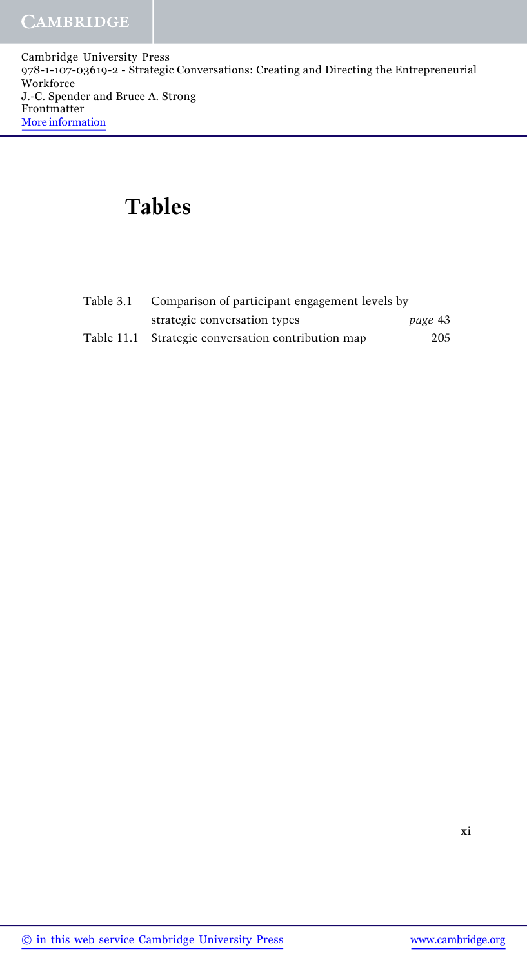# Tables

| Table 3.1 Comparison of participant engagement levels by |         |  |  |  |
|----------------------------------------------------------|---------|--|--|--|
| strategic conversation types                             | page 43 |  |  |  |
| Table 11.1 Strategic conversation contribution map       | 205     |  |  |  |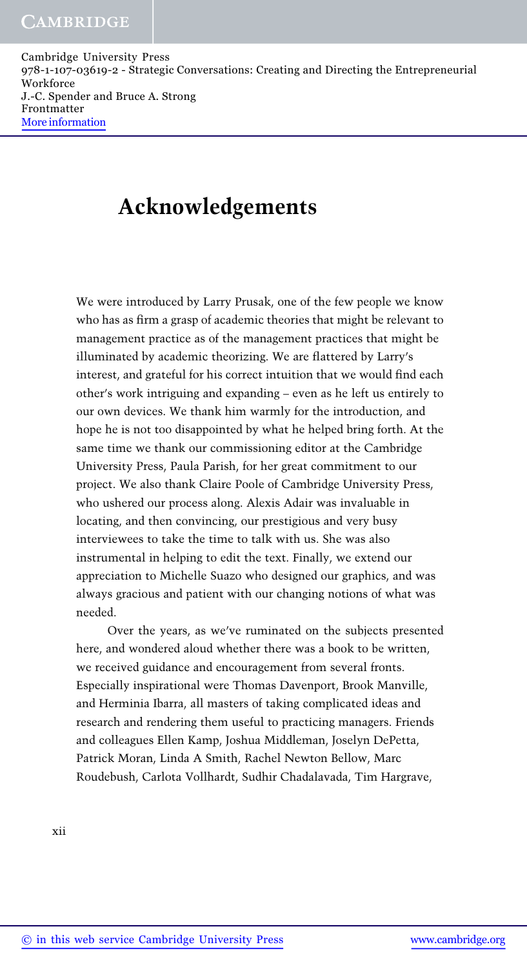### Acknowledgements

We were introduced by Larry Prusak, one of the few people we know who has as firm a grasp of academic theories that might be relevant to management practice as of the management practices that might be illuminated by academic theorizing. We are flattered by Larry's interest, and grateful for his correct intuition that we would find each other's work intriguing and expanding – even as he left us entirely to our own devices. We thank him warmly for the introduction, and hope he is not too disappointed by what he helped bring forth. At the same time we thank our commissioning editor at the Cambridge University Press, Paula Parish, for her great commitment to our project. We also thank Claire Poole of Cambridge University Press, who ushered our process along. Alexis Adair was invaluable in locating, and then convincing, our prestigious and very busy interviewees to take the time to talk with us. She was also instrumental in helping to edit the text. Finally, we extend our appreciation to Michelle Suazo who designed our graphics, and was always gracious and patient with our changing notions of what was needed.

Over the years, as we've ruminated on the subjects presented here, and wondered aloud whether there was a book to be written, we received guidance and encouragement from several fronts. Especially inspirational were Thomas Davenport, Brook Manville, and Herminia Ibarra, all masters of taking complicated ideas and research and rendering them useful to practicing managers. Friends and colleagues Ellen Kamp, Joshua Middleman, Joselyn DePetta, Patrick Moran, Linda A Smith, Rachel Newton Bellow, Marc Roudebush, Carlota Vollhardt, Sudhir Chadalavada, Tim Hargrave,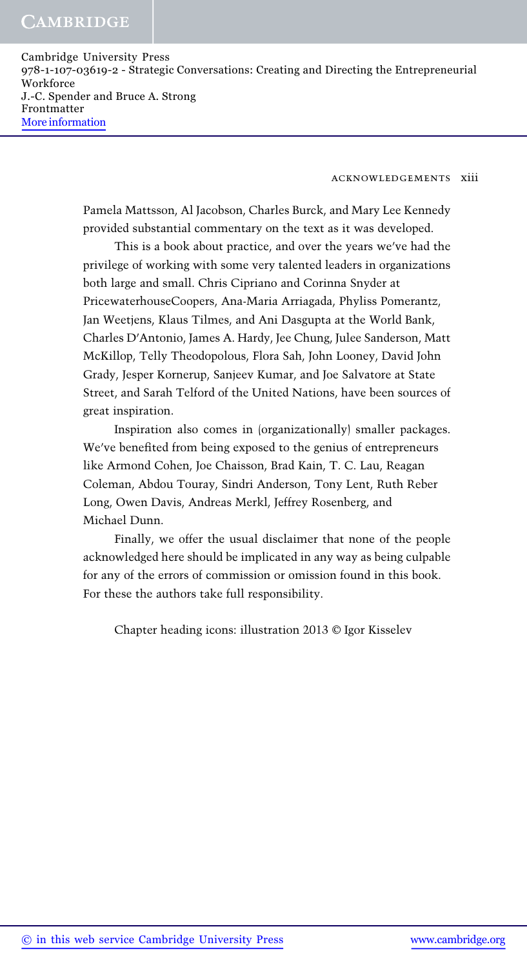acknowledgements xiii

Pamela Mattsson, Al Jacobson, Charles Burck, and Mary Lee Kennedy provided substantial commentary on the text as it was developed.

This is a book about practice, and over the years we've had the privilege of working with some very talented leaders in organizations both large and small. Chris Cipriano and Corinna Snyder at PricewaterhouseCoopers, Ana-Maria Arriagada, Phyliss Pomerantz, Jan Weetjens, Klaus Tilmes, and Ani Dasgupta at the World Bank, Charles D'Antonio, James A. Hardy, Jee Chung, Julee Sanderson, Matt McKillop, Telly Theodopolous, Flora Sah, John Looney, David John Grady, Jesper Kornerup, Sanjeev Kumar, and Joe Salvatore at State Street, and Sarah Telford of the United Nations, have been sources of great inspiration.

Inspiration also comes in (organizationally) smaller packages. We've benefited from being exposed to the genius of entrepreneurs like Armond Cohen, Joe Chaisson, Brad Kain, T. C. Lau, Reagan Coleman, Abdou Touray, Sindri Anderson, Tony Lent, Ruth Reber Long, Owen Davis, Andreas Merkl, Jeffrey Rosenberg, and Michael Dunn.

Finally, we offer the usual disclaimer that none of the people acknowledged here should be implicated in any way as being culpable for any of the errors of commission or omission found in this book. For these the authors take full responsibility.

Chapter heading icons: illustration 2013 © Igor Kisselev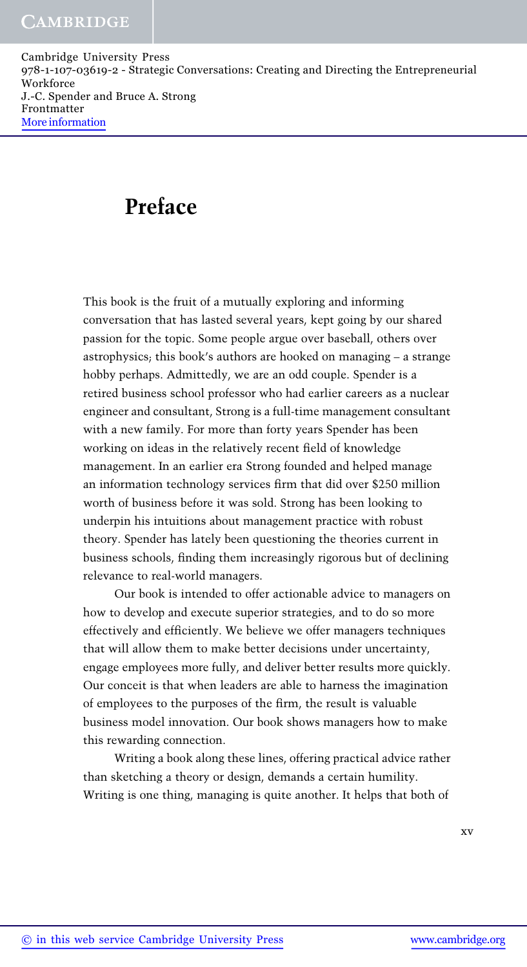## Preface

This book is the fruit of a mutually exploring and informing conversation that has lasted several years, kept going by our shared passion for the topic. Some people argue over baseball, others over astrophysics; this book's authors are hooked on managing – a strange hobby perhaps. Admittedly, we are an odd couple. Spender is a retired business school professor who had earlier careers as a nuclear engineer and consultant, Strong is a full-time management consultant with a new family. For more than forty years Spender has been working on ideas in the relatively recent field of knowledge management. In an earlier era Strong founded and helped manage an information technology services firm that did over \$250 million worth of business before it was sold. Strong has been looking to underpin his intuitions about management practice with robust theory. Spender has lately been questioning the theories current in business schools, finding them increasingly rigorous but of declining relevance to real-world managers.

Our book is intended to offer actionable advice to managers on how to develop and execute superior strategies, and to do so more effectively and efficiently. We believe we offer managers techniques that will allow them to make better decisions under uncertainty, engage employees more fully, and deliver better results more quickly. Our conceit is that when leaders are able to harness the imagination of employees to the purposes of the firm, the result is valuable business model innovation. Our book shows managers how to make this rewarding connection.

Writing a book along these lines, offering practical advice rather than sketching a theory or design, demands a certain humility. Writing is one thing, managing is quite another. It helps that both of

xv